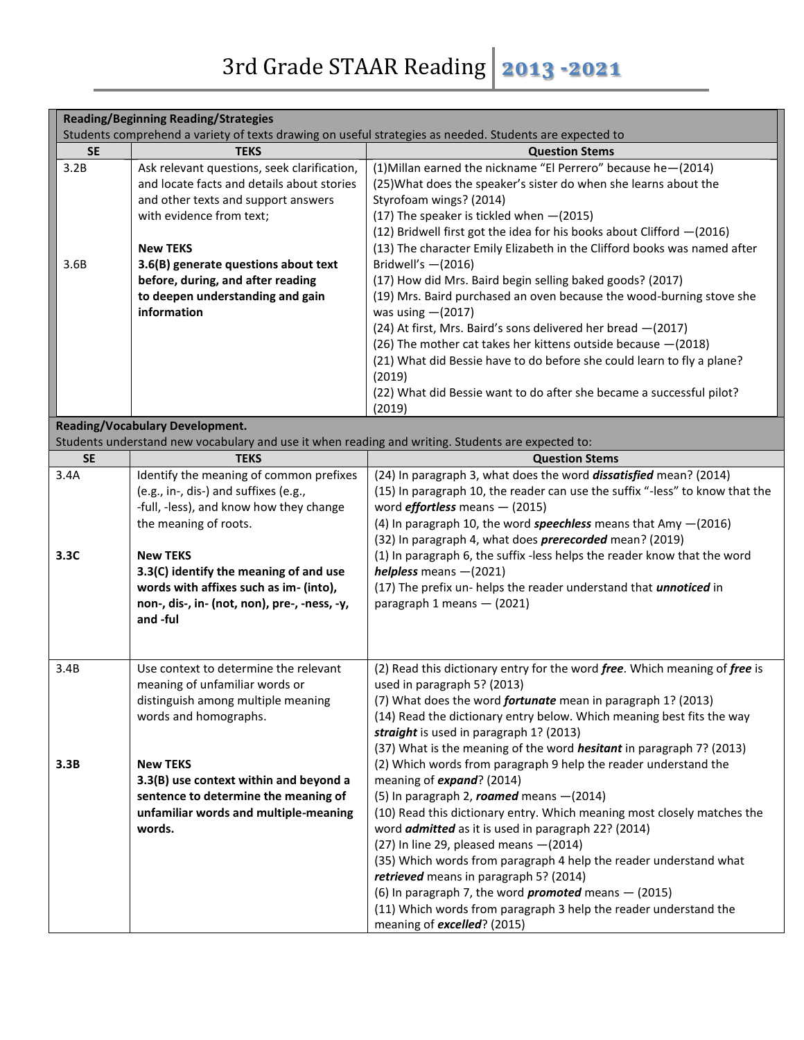|           | <b>Reading/Beginning Reading/Strategies</b>                                                             |                                                                                                              |  |
|-----------|---------------------------------------------------------------------------------------------------------|--------------------------------------------------------------------------------------------------------------|--|
|           | Students comprehend a variety of texts drawing on useful strategies as needed. Students are expected to |                                                                                                              |  |
| <b>SE</b> | <b>TEKS</b>                                                                                             | <b>Question Stems</b>                                                                                        |  |
| 3.2B      | Ask relevant questions, seek clarification,                                                             | (1) Millan earned the nickname "El Perrero" because he-(2014)                                                |  |
|           | and locate facts and details about stories                                                              | (25) What does the speaker's sister do when she learns about the                                             |  |
|           | and other texts and support answers                                                                     | Styrofoam wings? (2014)                                                                                      |  |
|           | with evidence from text;                                                                                | (17) The speaker is tickled when -(2015)                                                                     |  |
|           |                                                                                                         | (12) Bridwell first got the idea for his books about Clifford -(2016)                                        |  |
|           | <b>New TEKS</b>                                                                                         | (13) The character Emily Elizabeth in the Clifford books was named after                                     |  |
| 3.6B      | 3.6(B) generate questions about text                                                                    | Bridwell's $-(2016)$                                                                                         |  |
|           | before, during, and after reading                                                                       | (17) How did Mrs. Baird begin selling baked goods? (2017)                                                    |  |
|           | to deepen understanding and gain                                                                        | (19) Mrs. Baird purchased an oven because the wood-burning stove she                                         |  |
|           | information                                                                                             | was using $-(2017)$                                                                                          |  |
|           |                                                                                                         | (24) At first, Mrs. Baird's sons delivered her bread -(2017)                                                 |  |
|           |                                                                                                         | (26) The mother cat takes her kittens outside because - (2018)                                               |  |
|           |                                                                                                         | (21) What did Bessie have to do before she could learn to fly a plane?                                       |  |
|           |                                                                                                         | (2019)                                                                                                       |  |
|           |                                                                                                         | (22) What did Bessie want to do after she became a successful pilot?                                         |  |
|           |                                                                                                         | (2019)                                                                                                       |  |
|           | <b>Reading/Vocabulary Development.</b>                                                                  |                                                                                                              |  |
|           | Students understand new vocabulary and use it when reading and writing. Students are expected to:       |                                                                                                              |  |
| <b>SE</b> | <b>TEKS</b>                                                                                             | <b>Question Stems</b>                                                                                        |  |
| 3.4A      | Identify the meaning of common prefixes                                                                 | (24) In paragraph 3, what does the word <i>dissatisfied</i> mean? (2014)                                     |  |
|           | (e.g., in-, dis-) and suffixes (e.g.,                                                                   | (15) In paragraph 10, the reader can use the suffix "-less" to know that the                                 |  |
|           | -full, -less), and know how they change                                                                 | word <i>effortless</i> means $-$ (2015)<br>(4) In paragraph 10, the word speechless means that Amy $-(2016)$ |  |
|           | the meaning of roots.                                                                                   | (32) In paragraph 4, what does <i>prerecorded</i> mean? (2019)                                               |  |
| 3.3C      | <b>New TEKS</b>                                                                                         | (1) In paragraph 6, the suffix -less helps the reader know that the word                                     |  |
|           | 3.3(C) identify the meaning of and use                                                                  | helpless means $-(2021)$                                                                                     |  |
|           | words with affixes such as im- (into),                                                                  | (17) The prefix un- helps the reader understand that <i>unnoticed</i> in                                     |  |
|           | non-, dis-, in- (not, non), pre-, -ness, -y,                                                            | paragraph 1 means $-$ (2021)                                                                                 |  |
|           | and -ful                                                                                                |                                                                                                              |  |
|           |                                                                                                         |                                                                                                              |  |
|           |                                                                                                         |                                                                                                              |  |
| 3.4B      | Use context to determine the relevant                                                                   | (2) Read this dictionary entry for the word free. Which meaning of free is                                   |  |
|           | meaning of unfamiliar words or                                                                          | used in paragraph 5? (2013)                                                                                  |  |
|           | distinguish among multiple meaning                                                                      | (7) What does the word <i>fortunate</i> mean in paragraph 1? (2013)                                          |  |
|           | words and homographs.                                                                                   | (14) Read the dictionary entry below. Which meaning best fits the way                                        |  |
|           |                                                                                                         | straight is used in paragraph 1? (2013)                                                                      |  |
|           |                                                                                                         | (37) What is the meaning of the word <i>hesitant</i> in paragraph 7? (2013)                                  |  |
| 3.3B      | <b>New TEKS</b>                                                                                         | (2) Which words from paragraph 9 help the reader understand the                                              |  |
|           | 3.3(B) use context within and beyond a                                                                  | meaning of expand? (2014)                                                                                    |  |
|           | sentence to determine the meaning of                                                                    | (5) In paragraph 2, roamed means $-(2014)$                                                                   |  |
|           | unfamiliar words and multiple-meaning                                                                   | (10) Read this dictionary entry. Which meaning most closely matches the                                      |  |
|           | words.                                                                                                  | word <i>admitted</i> as it is used in paragraph 22? (2014)                                                   |  |
|           |                                                                                                         | $(27)$ In line 29, pleased means $-(2014)$                                                                   |  |
|           |                                                                                                         | (35) Which words from paragraph 4 help the reader understand what                                            |  |
|           |                                                                                                         | retrieved means in paragraph 5? (2014)                                                                       |  |
|           |                                                                                                         | (6) In paragraph 7, the word <b>promoted</b> means $-$ (2015)                                                |  |
|           |                                                                                                         | (11) Which words from paragraph 3 help the reader understand the                                             |  |
|           |                                                                                                         | meaning of excelled? (2015)                                                                                  |  |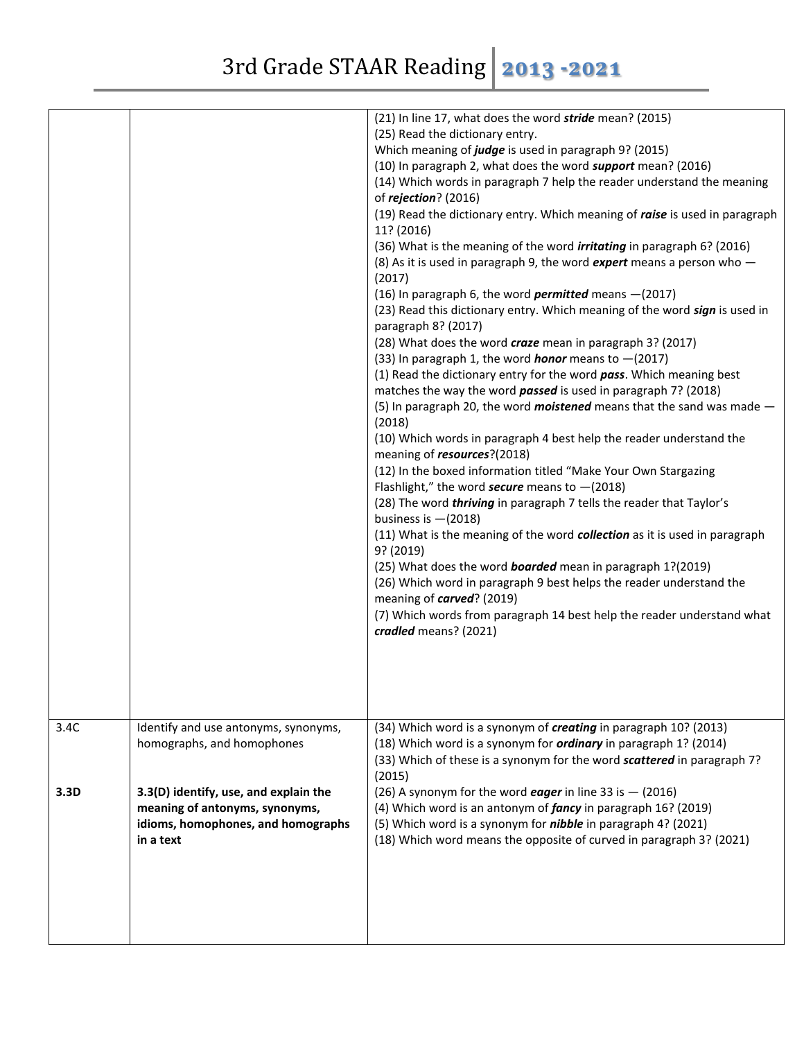|      |                                                                                                                            | (21) In line 17, what does the word stride mean? (2015)<br>(25) Read the dictionary entry.<br>Which meaning of judge is used in paragraph 9? (2015)<br>(10) In paragraph 2, what does the word support mean? (2016)<br>(14) Which words in paragraph 7 help the reader understand the meaning<br>of rejection? (2016)<br>(19) Read the dictionary entry. Which meaning of raise is used in paragraph<br>11? (2016)<br>(36) What is the meaning of the word <i>irritating</i> in paragraph 6? (2016)<br>(8) As it is used in paragraph 9, the word expert means a person who $-$<br>(2017)<br>(16) In paragraph 6, the word <i>permitted</i> means -(2017)<br>(23) Read this dictionary entry. Which meaning of the word sign is used in<br>paragraph 8? (2017)<br>(28) What does the word craze mean in paragraph 3? (2017)<br>(33) In paragraph 1, the word <i>honor</i> means to $-(2017)$<br>(1) Read the dictionary entry for the word pass. Which meaning best<br>matches the way the word <i>passed</i> is used in paragraph 7? (2018)<br>(5) In paragraph 20, the word <b>moistened</b> means that the sand was made -<br>(2018)<br>(10) Which words in paragraph 4 best help the reader understand the<br>meaning of resources?(2018)<br>(12) In the boxed information titled "Make Your Own Stargazing<br>Flashlight," the word secure means to $-(2018)$<br>(28) The word <i>thriving</i> in paragraph 7 tells the reader that Taylor's<br>business is $-(2018)$<br>(11) What is the meaning of the word collection as it is used in paragraph<br>9? (2019)<br>(25) What does the word <b>boarded</b> mean in paragraph 1?(2019)<br>(26) Which word in paragraph 9 best helps the reader understand the<br>meaning of carved? (2019)<br>(7) Which words from paragraph 14 best help the reader understand what<br>cradled means? (2021) |
|------|----------------------------------------------------------------------------------------------------------------------------|---------------------------------------------------------------------------------------------------------------------------------------------------------------------------------------------------------------------------------------------------------------------------------------------------------------------------------------------------------------------------------------------------------------------------------------------------------------------------------------------------------------------------------------------------------------------------------------------------------------------------------------------------------------------------------------------------------------------------------------------------------------------------------------------------------------------------------------------------------------------------------------------------------------------------------------------------------------------------------------------------------------------------------------------------------------------------------------------------------------------------------------------------------------------------------------------------------------------------------------------------------------------------------------------------------------------------------------------------------------------------------------------------------------------------------------------------------------------------------------------------------------------------------------------------------------------------------------------------------------------------------------------------------------------------------------------------------------------------------------------------------------------------------------------------------------------------------------------------|
|      |                                                                                                                            |                                                                                                                                                                                                                                                                                                                                                                                                                                                                                                                                                                                                                                                                                                                                                                                                                                                                                                                                                                                                                                                                                                                                                                                                                                                                                                                                                                                                                                                                                                                                                                                                                                                                                                                                                                                                                                                   |
| 3.4C | Identify and use antonyms, synonyms,<br>homographs, and homophones                                                         | (34) Which word is a synonym of creating in paragraph 10? (2013)<br>(18) Which word is a synonym for <i>ordinary</i> in paragraph 1? (2014)<br>(33) Which of these is a synonym for the word scattered in paragraph 7?<br>(2015)                                                                                                                                                                                                                                                                                                                                                                                                                                                                                                                                                                                                                                                                                                                                                                                                                                                                                                                                                                                                                                                                                                                                                                                                                                                                                                                                                                                                                                                                                                                                                                                                                  |
| 3.3D | 3.3(D) identify, use, and explain the<br>meaning of antonyms, synonyms,<br>idioms, homophones, and homographs<br>in a text | (26) A synonym for the word <b>eager</b> in line 33 is $-$ (2016)<br>(4) Which word is an antonym of <i>fancy</i> in paragraph 16? (2019)<br>(5) Which word is a synonym for <i>nibble</i> in paragraph 4? (2021)<br>(18) Which word means the opposite of curved in paragraph 3? (2021)                                                                                                                                                                                                                                                                                                                                                                                                                                                                                                                                                                                                                                                                                                                                                                                                                                                                                                                                                                                                                                                                                                                                                                                                                                                                                                                                                                                                                                                                                                                                                          |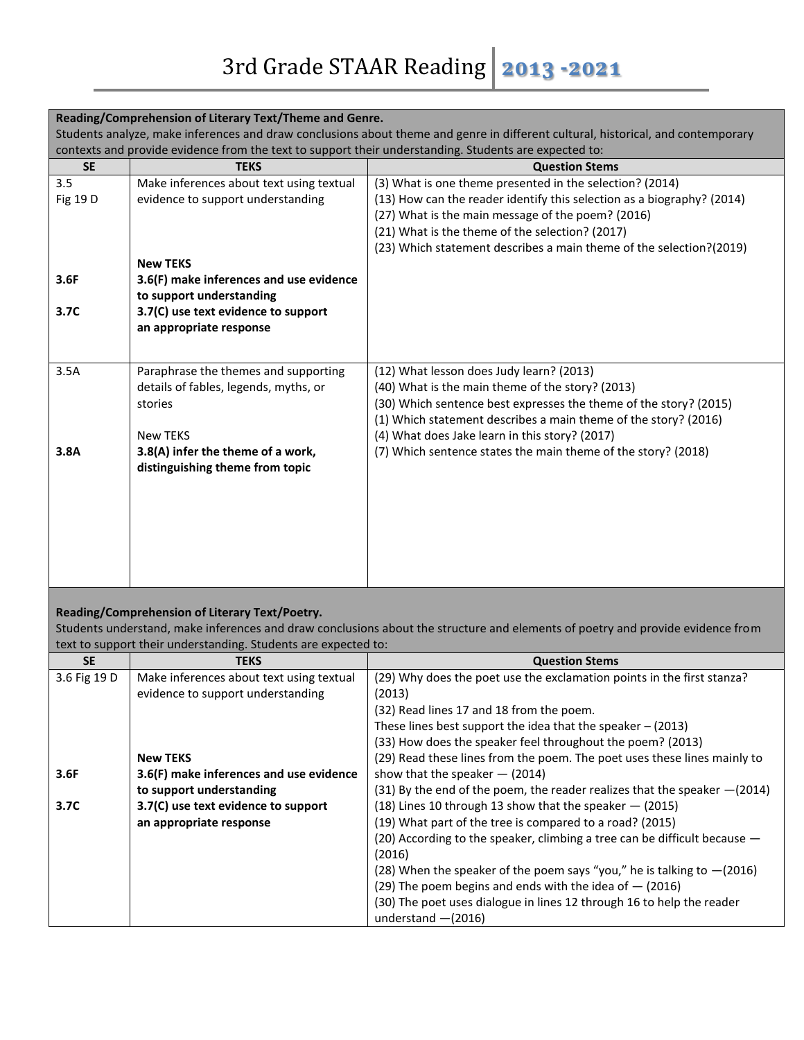| Reading/Comprehension of Literary Text/Theme and Genre.                                                                                                                                                                                   |                                                                     |                                                                                                                                |
|-------------------------------------------------------------------------------------------------------------------------------------------------------------------------------------------------------------------------------------------|---------------------------------------------------------------------|--------------------------------------------------------------------------------------------------------------------------------|
| Students analyze, make inferences and draw conclusions about theme and genre in different cultural, historical, and contemporary<br>contexts and provide evidence from the text to support their understanding. Students are expected to: |                                                                     |                                                                                                                                |
| <b>SE</b>                                                                                                                                                                                                                                 | <b>TEKS</b>                                                         | <b>Question Stems</b>                                                                                                          |
| 3.5                                                                                                                                                                                                                                       | Make inferences about text using textual                            | (3) What is one theme presented in the selection? (2014)                                                                       |
| Fig 19 D                                                                                                                                                                                                                                  | evidence to support understanding                                   | (13) How can the reader identify this selection as a biography? (2014)                                                         |
|                                                                                                                                                                                                                                           |                                                                     | (27) What is the main message of the poem? (2016)                                                                              |
|                                                                                                                                                                                                                                           |                                                                     | (21) What is the theme of the selection? (2017)                                                                                |
|                                                                                                                                                                                                                                           |                                                                     | (23) Which statement describes a main theme of the selection?(2019)                                                            |
|                                                                                                                                                                                                                                           | <b>New TEKS</b>                                                     |                                                                                                                                |
| 3.6F                                                                                                                                                                                                                                      | 3.6(F) make inferences and use evidence                             |                                                                                                                                |
|                                                                                                                                                                                                                                           | to support understanding                                            |                                                                                                                                |
| 3.7C                                                                                                                                                                                                                                      | 3.7(C) use text evidence to support<br>an appropriate response      |                                                                                                                                |
|                                                                                                                                                                                                                                           |                                                                     |                                                                                                                                |
|                                                                                                                                                                                                                                           |                                                                     |                                                                                                                                |
| 3.5A                                                                                                                                                                                                                                      | Paraphrase the themes and supporting                                | (12) What lesson does Judy learn? (2013)                                                                                       |
|                                                                                                                                                                                                                                           | details of fables, legends, myths, or                               | (40) What is the main theme of the story? (2013)                                                                               |
|                                                                                                                                                                                                                                           | stories                                                             | (30) Which sentence best expresses the theme of the story? (2015)                                                              |
|                                                                                                                                                                                                                                           | <b>New TEKS</b>                                                     | (1) Which statement describes a main theme of the story? (2016)<br>(4) What does Jake learn in this story? (2017)              |
| 3.8A                                                                                                                                                                                                                                      | 3.8(A) infer the theme of a work,                                   | (7) Which sentence states the main theme of the story? (2018)                                                                  |
|                                                                                                                                                                                                                                           | distinguishing theme from topic                                     |                                                                                                                                |
|                                                                                                                                                                                                                                           |                                                                     |                                                                                                                                |
|                                                                                                                                                                                                                                           |                                                                     |                                                                                                                                |
|                                                                                                                                                                                                                                           |                                                                     |                                                                                                                                |
|                                                                                                                                                                                                                                           |                                                                     |                                                                                                                                |
|                                                                                                                                                                                                                                           |                                                                     |                                                                                                                                |
|                                                                                                                                                                                                                                           |                                                                     |                                                                                                                                |
|                                                                                                                                                                                                                                           |                                                                     |                                                                                                                                |
|                                                                                                                                                                                                                                           | Reading/Comprehension of Literary Text/Poetry.                      |                                                                                                                                |
|                                                                                                                                                                                                                                           |                                                                     | Students understand, make inferences and draw conclusions about the structure and elements of poetry and provide evidence from |
|                                                                                                                                                                                                                                           | text to support their understanding. Students are expected to:      |                                                                                                                                |
| <b>SE</b>                                                                                                                                                                                                                                 | <b>TEKS</b>                                                         | <b>Question Stems</b>                                                                                                          |
| 3.6 Fig 19 D                                                                                                                                                                                                                              | Make inferences about text using textual                            | (29) Why does the poet use the exclamation points in the first stanza?                                                         |
|                                                                                                                                                                                                                                           | evidence to support understanding                                   | (2013)                                                                                                                         |
|                                                                                                                                                                                                                                           |                                                                     | (32) Read lines 17 and 18 from the poem.                                                                                       |
|                                                                                                                                                                                                                                           |                                                                     | These lines best support the idea that the speaker $-$ (2013)                                                                  |
|                                                                                                                                                                                                                                           |                                                                     | (33) How does the speaker feel throughout the poem? (2013)                                                                     |
|                                                                                                                                                                                                                                           | <b>New TEKS</b>                                                     | (29) Read these lines from the poem. The poet uses these lines mainly to                                                       |
| 3.6F                                                                                                                                                                                                                                      | 3.6(F) make inferences and use evidence<br>to support understanding | show that the speaker $-$ (2014)<br>(31) By the end of the poem, the reader realizes that the speaker - (2014)                 |
| 3.7C                                                                                                                                                                                                                                      | 3.7(C) use text evidence to support                                 | (18) Lines 10 through 13 show that the speaker - (2015)                                                                        |
|                                                                                                                                                                                                                                           | an appropriate response                                             | (19) What part of the tree is compared to a road? (2015)                                                                       |
|                                                                                                                                                                                                                                           |                                                                     | (20) According to the speaker, climbing a tree can be difficult because -                                                      |
|                                                                                                                                                                                                                                           |                                                                     | (2016)                                                                                                                         |
|                                                                                                                                                                                                                                           |                                                                     | (28) When the speaker of the poem says "you," he is talking to $-(2016)$                                                       |
|                                                                                                                                                                                                                                           |                                                                     | (29) The poem begins and ends with the idea of $-$ (2016)                                                                      |
|                                                                                                                                                                                                                                           |                                                                     | (30) The poet uses dialogue in lines 12 through 16 to help the reader                                                          |
|                                                                                                                                                                                                                                           |                                                                     | understand $-(2016)$                                                                                                           |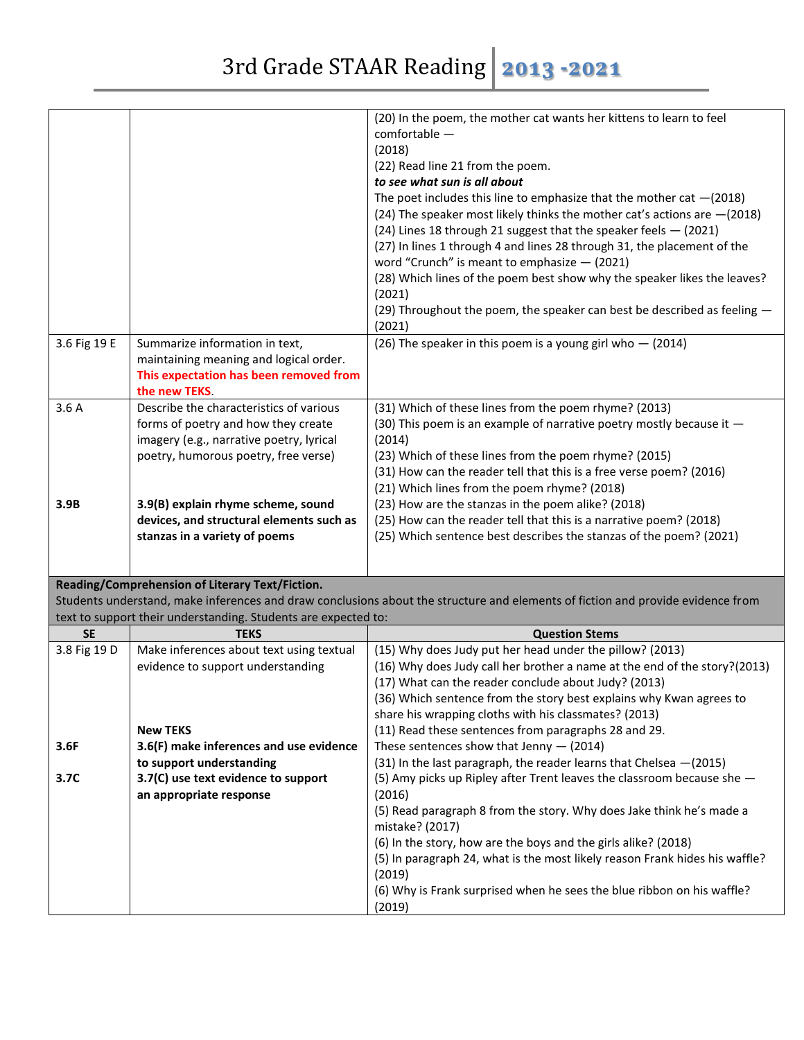|              |                                                                | (20) In the poem, the mother cat wants her kittens to learn to feel                                                               |
|--------------|----------------------------------------------------------------|-----------------------------------------------------------------------------------------------------------------------------------|
|              |                                                                | $comfortable -$                                                                                                                   |
|              |                                                                | (2018)                                                                                                                            |
|              |                                                                | (22) Read line 21 from the poem.                                                                                                  |
|              |                                                                | to see what sun is all about                                                                                                      |
|              |                                                                | The poet includes this line to emphasize that the mother cat $-(2018)$                                                            |
|              |                                                                | (24) The speaker most likely thinks the mother cat's actions are -(2018)                                                          |
|              |                                                                | (24) Lines 18 through 21 suggest that the speaker feels - (2021)                                                                  |
|              |                                                                | (27) In lines 1 through 4 and lines 28 through 31, the placement of the                                                           |
|              |                                                                | word "Crunch" is meant to emphasize - (2021)                                                                                      |
|              |                                                                | (28) Which lines of the poem best show why the speaker likes the leaves?                                                          |
|              |                                                                | (2021)                                                                                                                            |
|              |                                                                | (29) Throughout the poem, the speaker can best be described as feeling -                                                          |
|              |                                                                | (2021)                                                                                                                            |
| 3.6 Fig 19 E | Summarize information in text,                                 | (26) The speaker in this poem is a young girl who $-$ (2014)                                                                      |
|              | maintaining meaning and logical order.                         |                                                                                                                                   |
|              | This expectation has been removed from                         |                                                                                                                                   |
|              | the new TEKS.                                                  |                                                                                                                                   |
| 3.6A         | Describe the characteristics of various                        | (31) Which of these lines from the poem rhyme? (2013)                                                                             |
|              | forms of poetry and how they create                            | (30) This poem is an example of narrative poetry mostly because it -                                                              |
|              | imagery (e.g., narrative poetry, lyrical                       | (2014)                                                                                                                            |
|              | poetry, humorous poetry, free verse)                           | (23) Which of these lines from the poem rhyme? (2015)                                                                             |
|              |                                                                | (31) How can the reader tell that this is a free verse poem? (2016)                                                               |
|              |                                                                | (21) Which lines from the poem rhyme? (2018)                                                                                      |
| 3.9B         | 3.9(B) explain rhyme scheme, sound                             | (23) How are the stanzas in the poem alike? (2018)                                                                                |
|              | devices, and structural elements such as                       | (25) How can the reader tell that this is a narrative poem? (2018)                                                                |
|              | stanzas in a variety of poems                                  | (25) Which sentence best describes the stanzas of the poem? (2021)                                                                |
|              |                                                                |                                                                                                                                   |
|              |                                                                |                                                                                                                                   |
|              | Reading/Comprehension of Literary Text/Fiction.                |                                                                                                                                   |
|              |                                                                | Students understand, make inferences and draw conclusions about the structure and elements of fiction and provide evidence from   |
|              | text to support their understanding. Students are expected to: |                                                                                                                                   |
| <b>SE</b>    | <b>TEKS</b>                                                    | <b>Question Stems</b>                                                                                                             |
| 3.8 Fig 19 D | Make inferences about text using textual                       | (15) Why does Judy put her head under the pillow? (2013)                                                                          |
|              | evidence to support understanding                              | (16) Why does Judy call her brother a name at the end of the story?(2013)<br>(17) What can the reader conclude about Judy? (2013) |
|              |                                                                | (36) Which sentence from the story best explains why Kwan agrees to                                                               |
|              |                                                                | share his wrapping cloths with his classmates? (2013)                                                                             |
|              | <b>New TEKS</b>                                                | (11) Read these sentences from paragraphs 28 and 29.                                                                              |
| 3.6F         | 3.6(F) make inferences and use evidence                        | These sentences show that Jenny $-$ (2014)                                                                                        |
|              | to support understanding                                       | (31) In the last paragraph, the reader learns that Chelsea - (2015)                                                               |
| 3.7C         | 3.7(C) use text evidence to support                            | (5) Amy picks up Ripley after Trent leaves the classroom because she -                                                            |
|              | an appropriate response                                        | (2016)                                                                                                                            |
|              |                                                                | (5) Read paragraph 8 from the story. Why does Jake think he's made a                                                              |
|              |                                                                | mistake? (2017)                                                                                                                   |
|              |                                                                | (6) In the story, how are the boys and the girls alike? (2018)                                                                    |
|              |                                                                | (5) In paragraph 24, what is the most likely reason Frank hides his waffle?                                                       |
|              |                                                                | (2019)                                                                                                                            |
|              |                                                                | (6) Why is Frank surprised when he sees the blue ribbon on his waffle?                                                            |
|              |                                                                | (2019)                                                                                                                            |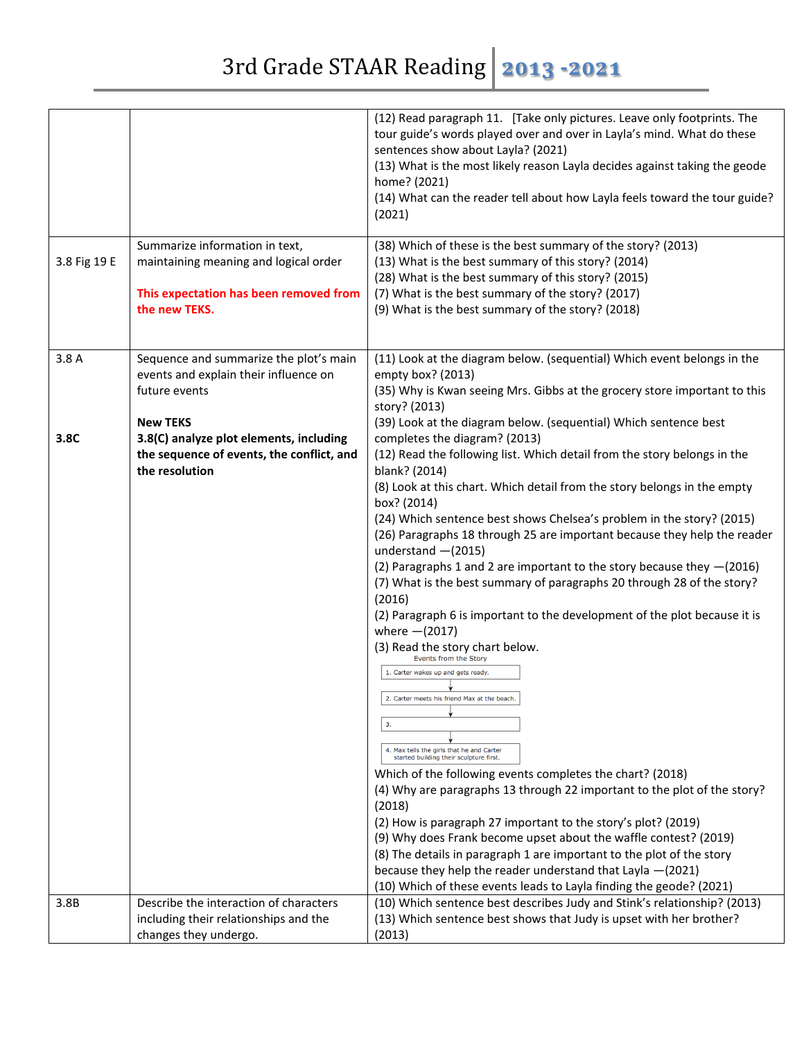|              |                                                                                 | (12) Read paragraph 11. [Take only pictures. Leave only footprints. The                                                                   |
|--------------|---------------------------------------------------------------------------------|-------------------------------------------------------------------------------------------------------------------------------------------|
|              |                                                                                 | tour guide's words played over and over in Layla's mind. What do these<br>sentences show about Layla? (2021)                              |
|              |                                                                                 | (13) What is the most likely reason Layla decides against taking the geode                                                                |
|              |                                                                                 | home? (2021)                                                                                                                              |
|              |                                                                                 | (14) What can the reader tell about how Layla feels toward the tour guide?                                                                |
|              |                                                                                 | (2021)                                                                                                                                    |
|              | Summarize information in text,                                                  | (38) Which of these is the best summary of the story? (2013)                                                                              |
| 3.8 Fig 19 E | maintaining meaning and logical order                                           | (13) What is the best summary of this story? (2014)<br>(28) What is the best summary of this story? (2015)                                |
|              | This expectation has been removed from                                          | (7) What is the best summary of the story? (2017)                                                                                         |
|              | the new TEKS.                                                                   | (9) What is the best summary of the story? (2018)                                                                                         |
|              |                                                                                 |                                                                                                                                           |
| 3.8A         |                                                                                 |                                                                                                                                           |
|              | Sequence and summarize the plot's main<br>events and explain their influence on | (11) Look at the diagram below. (sequential) Which event belongs in the<br>empty box? (2013)                                              |
|              | future events                                                                   | (35) Why is Kwan seeing Mrs. Gibbs at the grocery store important to this                                                                 |
|              |                                                                                 | story? (2013)                                                                                                                             |
|              | <b>New TEKS</b>                                                                 | (39) Look at the diagram below. (sequential) Which sentence best                                                                          |
| 3.8C         | 3.8(C) analyze plot elements, including                                         | completes the diagram? (2013)                                                                                                             |
|              | the sequence of events, the conflict, and                                       | (12) Read the following list. Which detail from the story belongs in the                                                                  |
|              | the resolution                                                                  | blank? (2014)<br>(8) Look at this chart. Which detail from the story belongs in the empty                                                 |
|              |                                                                                 | box? (2014)                                                                                                                               |
|              |                                                                                 | (24) Which sentence best shows Chelsea's problem in the story? (2015)                                                                     |
|              |                                                                                 | (26) Paragraphs 18 through 25 are important because they help the reader<br>understand $-(2015)$                                          |
|              |                                                                                 | (2) Paragraphs 1 and 2 are important to the story because they $-(2016)$                                                                  |
|              |                                                                                 | (7) What is the best summary of paragraphs 20 through 28 of the story?                                                                    |
|              |                                                                                 | (2016)                                                                                                                                    |
|              |                                                                                 | (2) Paragraph 6 is important to the development of the plot because it is<br>where $-(2017)$                                              |
|              |                                                                                 | (3) Read the story chart below.<br><b>Events from the Story</b>                                                                           |
|              |                                                                                 | 1. Carter wakes up and gets ready.                                                                                                        |
|              |                                                                                 | 2. Carter meets his friend Max at the beach.                                                                                              |
|              |                                                                                 |                                                                                                                                           |
|              |                                                                                 | 3.                                                                                                                                        |
|              |                                                                                 | 4. Max tells the girls that he and Carter<br>started building their sculpture first.                                                      |
|              |                                                                                 | Which of the following events completes the chart? (2018)                                                                                 |
|              |                                                                                 | (4) Why are paragraphs 13 through 22 important to the plot of the story?                                                                  |
|              |                                                                                 | (2018)                                                                                                                                    |
|              |                                                                                 | (2) How is paragraph 27 important to the story's plot? (2019)                                                                             |
|              |                                                                                 | (9) Why does Frank become upset about the waffle contest? (2019)<br>(8) The details in paragraph 1 are important to the plot of the story |
|              |                                                                                 | because they help the reader understand that Layla $-(2021)$                                                                              |
|              |                                                                                 | (10) Which of these events leads to Layla finding the geode? (2021)                                                                       |
| 3.8B         | Describe the interaction of characters                                          | (10) Which sentence best describes Judy and Stink's relationship? (2013)                                                                  |
|              | including their relationships and the                                           | (13) Which sentence best shows that Judy is upset with her brother?                                                                       |
|              | changes they undergo.                                                           | (2013)                                                                                                                                    |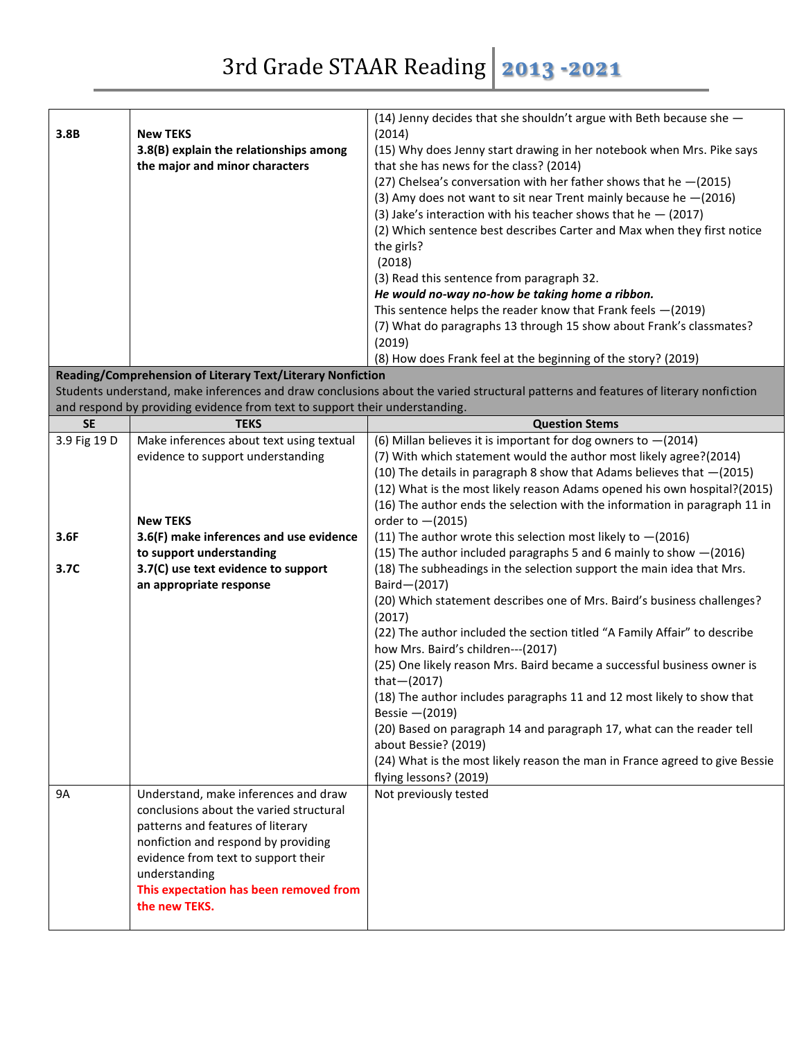| 3.8B         | <b>New TEKS</b><br>3.8(B) explain the relationships among<br>the major and minor characters | (14) Jenny decides that she shouldn't argue with Beth because she -<br>(2014)<br>(15) Why does Jenny start drawing in her notebook when Mrs. Pike says<br>that she has news for the class? (2014)<br>(27) Chelsea's conversation with her father shows that he $-(2015)$<br>(3) Amy does not want to sit near Trent mainly because he $-(2016)$<br>(3) Jake's interaction with his teacher shows that he $-$ (2017)<br>(2) Which sentence best describes Carter and Max when they first notice<br>the girls?<br>(2018)<br>(3) Read this sentence from paragraph 32.<br>He would no-way no-how be taking home a ribbon.<br>This sentence helps the reader know that Frank feels -(2019)<br>(7) What do paragraphs 13 through 15 show about Frank's classmates?<br>(2019)<br>(8) How does Frank feel at the beginning of the story? (2019) |
|--------------|---------------------------------------------------------------------------------------------|------------------------------------------------------------------------------------------------------------------------------------------------------------------------------------------------------------------------------------------------------------------------------------------------------------------------------------------------------------------------------------------------------------------------------------------------------------------------------------------------------------------------------------------------------------------------------------------------------------------------------------------------------------------------------------------------------------------------------------------------------------------------------------------------------------------------------------------|
|              | Reading/Comprehension of Literary Text/Literary Nonfiction                                  |                                                                                                                                                                                                                                                                                                                                                                                                                                                                                                                                                                                                                                                                                                                                                                                                                                          |
|              |                                                                                             |                                                                                                                                                                                                                                                                                                                                                                                                                                                                                                                                                                                                                                                                                                                                                                                                                                          |
|              |                                                                                             | Students understand, make inferences and draw conclusions about the varied structural patterns and features of literary nonfiction                                                                                                                                                                                                                                                                                                                                                                                                                                                                                                                                                                                                                                                                                                       |
|              | and respond by providing evidence from text to support their understanding.                 |                                                                                                                                                                                                                                                                                                                                                                                                                                                                                                                                                                                                                                                                                                                                                                                                                                          |
| <b>SE</b>    | <b>TEKS</b>                                                                                 | <b>Question Stems</b>                                                                                                                                                                                                                                                                                                                                                                                                                                                                                                                                                                                                                                                                                                                                                                                                                    |
| 3.9 Fig 19 D | Make inferences about text using textual                                                    | (6) Millan believes it is important for dog owners to $-(2014)$                                                                                                                                                                                                                                                                                                                                                                                                                                                                                                                                                                                                                                                                                                                                                                          |
|              | evidence to support understanding                                                           | (7) With which statement would the author most likely agree?(2014)                                                                                                                                                                                                                                                                                                                                                                                                                                                                                                                                                                                                                                                                                                                                                                       |
|              |                                                                                             | (10) The details in paragraph 8 show that Adams believes that -(2015)                                                                                                                                                                                                                                                                                                                                                                                                                                                                                                                                                                                                                                                                                                                                                                    |
|              |                                                                                             | (12) What is the most likely reason Adams opened his own hospital?(2015)                                                                                                                                                                                                                                                                                                                                                                                                                                                                                                                                                                                                                                                                                                                                                                 |
|              |                                                                                             | (16) The author ends the selection with the information in paragraph 11 in                                                                                                                                                                                                                                                                                                                                                                                                                                                                                                                                                                                                                                                                                                                                                               |
|              | <b>New TEKS</b>                                                                             | order to $-(2015)$                                                                                                                                                                                                                                                                                                                                                                                                                                                                                                                                                                                                                                                                                                                                                                                                                       |
| 3.6F         | 3.6(F) make inferences and use evidence                                                     | (11) The author wrote this selection most likely to $-(2016)$                                                                                                                                                                                                                                                                                                                                                                                                                                                                                                                                                                                                                                                                                                                                                                            |
|              | to support understanding                                                                    | (15) The author included paragraphs 5 and 6 mainly to show -(2016)                                                                                                                                                                                                                                                                                                                                                                                                                                                                                                                                                                                                                                                                                                                                                                       |
| 3.7C         | 3.7(C) use text evidence to support                                                         | (18) The subheadings in the selection support the main idea that Mrs.                                                                                                                                                                                                                                                                                                                                                                                                                                                                                                                                                                                                                                                                                                                                                                    |
|              | an appropriate response                                                                     | Baird-(2017)                                                                                                                                                                                                                                                                                                                                                                                                                                                                                                                                                                                                                                                                                                                                                                                                                             |
|              |                                                                                             | (20) Which statement describes one of Mrs. Baird's business challenges?                                                                                                                                                                                                                                                                                                                                                                                                                                                                                                                                                                                                                                                                                                                                                                  |
|              |                                                                                             | (2017)                                                                                                                                                                                                                                                                                                                                                                                                                                                                                                                                                                                                                                                                                                                                                                                                                                   |
|              |                                                                                             | (22) The author included the section titled "A Family Affair" to describe                                                                                                                                                                                                                                                                                                                                                                                                                                                                                                                                                                                                                                                                                                                                                                |
|              |                                                                                             | how Mrs. Baird's children---(2017)                                                                                                                                                                                                                                                                                                                                                                                                                                                                                                                                                                                                                                                                                                                                                                                                       |
|              |                                                                                             | (25) One likely reason Mrs. Baird became a successful business owner is                                                                                                                                                                                                                                                                                                                                                                                                                                                                                                                                                                                                                                                                                                                                                                  |
|              |                                                                                             | that $-(2017)$<br>(18) The author includes paragraphs 11 and 12 most likely to show that                                                                                                                                                                                                                                                                                                                                                                                                                                                                                                                                                                                                                                                                                                                                                 |
|              |                                                                                             | Bessie $-(2019)$                                                                                                                                                                                                                                                                                                                                                                                                                                                                                                                                                                                                                                                                                                                                                                                                                         |
|              |                                                                                             | (20) Based on paragraph 14 and paragraph 17, what can the reader tell<br>about Bessie? (2019)                                                                                                                                                                                                                                                                                                                                                                                                                                                                                                                                                                                                                                                                                                                                            |
|              |                                                                                             | (24) What is the most likely reason the man in France agreed to give Bessie                                                                                                                                                                                                                                                                                                                                                                                                                                                                                                                                                                                                                                                                                                                                                              |
|              |                                                                                             | flying lessons? (2019)                                                                                                                                                                                                                                                                                                                                                                                                                                                                                                                                                                                                                                                                                                                                                                                                                   |
| 9A           | Understand, make inferences and draw                                                        | Not previously tested                                                                                                                                                                                                                                                                                                                                                                                                                                                                                                                                                                                                                                                                                                                                                                                                                    |
|              | conclusions about the varied structural                                                     |                                                                                                                                                                                                                                                                                                                                                                                                                                                                                                                                                                                                                                                                                                                                                                                                                                          |
|              | patterns and features of literary                                                           |                                                                                                                                                                                                                                                                                                                                                                                                                                                                                                                                                                                                                                                                                                                                                                                                                                          |
|              |                                                                                             |                                                                                                                                                                                                                                                                                                                                                                                                                                                                                                                                                                                                                                                                                                                                                                                                                                          |
|              | nonfiction and respond by providing                                                         |                                                                                                                                                                                                                                                                                                                                                                                                                                                                                                                                                                                                                                                                                                                                                                                                                                          |
|              | evidence from text to support their                                                         |                                                                                                                                                                                                                                                                                                                                                                                                                                                                                                                                                                                                                                                                                                                                                                                                                                          |
|              | understanding                                                                               |                                                                                                                                                                                                                                                                                                                                                                                                                                                                                                                                                                                                                                                                                                                                                                                                                                          |
|              | This expectation has been removed from                                                      |                                                                                                                                                                                                                                                                                                                                                                                                                                                                                                                                                                                                                                                                                                                                                                                                                                          |
|              | the new TEKS.                                                                               |                                                                                                                                                                                                                                                                                                                                                                                                                                                                                                                                                                                                                                                                                                                                                                                                                                          |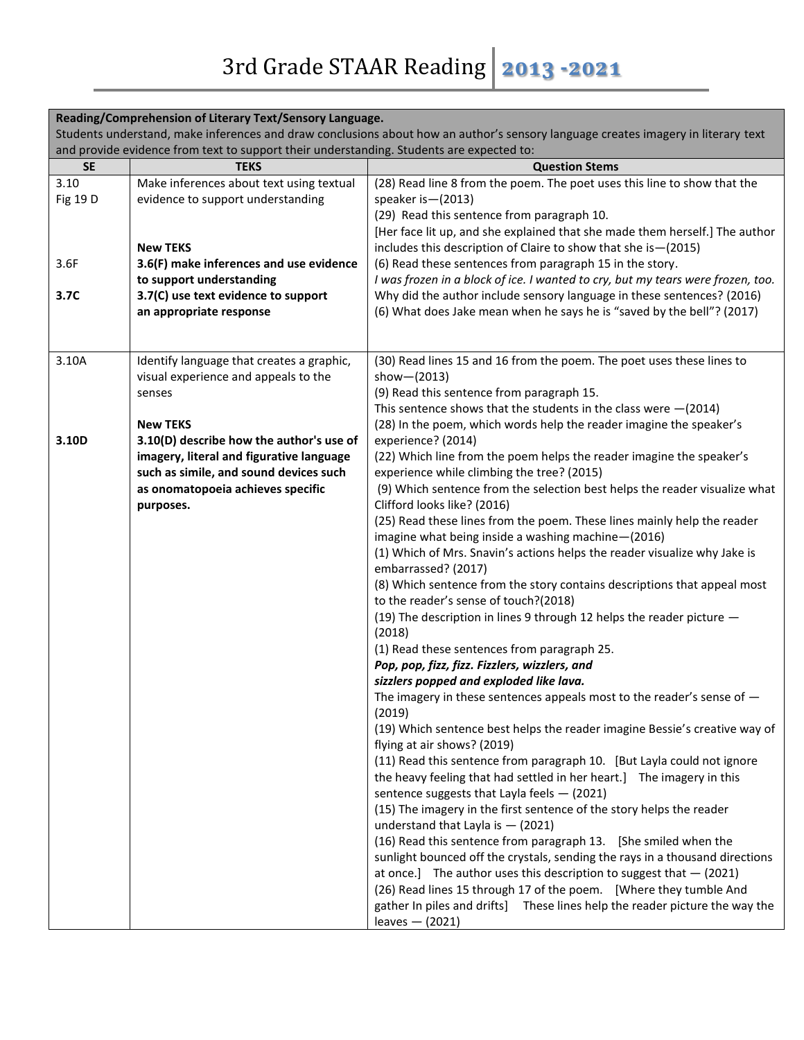| Reading/Comprehension of Literary Text/Sensory Language.                                                                          |                                           |                                                                                  |
|-----------------------------------------------------------------------------------------------------------------------------------|-------------------------------------------|----------------------------------------------------------------------------------|
| Students understand, make inferences and draw conclusions about how an author's sensory language creates imagery in literary text |                                           |                                                                                  |
| and provide evidence from text to support their understanding. Students are expected to:                                          |                                           |                                                                                  |
| <b>SE</b>                                                                                                                         | <b>TEKS</b>                               | <b>Question Stems</b>                                                            |
| 3.10                                                                                                                              | Make inferences about text using textual  | (28) Read line 8 from the poem. The poet uses this line to show that the         |
| Fig 19 D                                                                                                                          | evidence to support understanding         | speaker is $-(2013)$                                                             |
|                                                                                                                                   |                                           | (29) Read this sentence from paragraph 10.                                       |
|                                                                                                                                   |                                           | [Her face lit up, and she explained that she made them herself.] The author      |
|                                                                                                                                   | <b>New TEKS</b>                           | includes this description of Claire to show that she is - (2015)                 |
| 3.6F                                                                                                                              | 3.6(F) make inferences and use evidence   | (6) Read these sentences from paragraph 15 in the story.                         |
|                                                                                                                                   | to support understanding                  | I was frozen in a block of ice. I wanted to cry, but my tears were frozen, too.  |
| 3.7C                                                                                                                              | 3.7(C) use text evidence to support       | Why did the author include sensory language in these sentences? (2016)           |
|                                                                                                                                   | an appropriate response                   | (6) What does Jake mean when he says he is "saved by the bell"? (2017)           |
|                                                                                                                                   |                                           |                                                                                  |
|                                                                                                                                   |                                           |                                                                                  |
| 3.10A                                                                                                                             | Identify language that creates a graphic, | (30) Read lines 15 and 16 from the poem. The poet uses these lines to            |
|                                                                                                                                   | visual experience and appeals to the      | show $-(2013)$                                                                   |
|                                                                                                                                   | senses                                    | (9) Read this sentence from paragraph 15.                                        |
|                                                                                                                                   |                                           | This sentence shows that the students in the class were $-(2014)$                |
|                                                                                                                                   | <b>New TEKS</b>                           | (28) In the poem, which words help the reader imagine the speaker's              |
| 3.10D                                                                                                                             | 3.10(D) describe how the author's use of  | experience? (2014)                                                               |
|                                                                                                                                   | imagery, literal and figurative language  | (22) Which line from the poem helps the reader imagine the speaker's             |
|                                                                                                                                   | such as simile, and sound devices such    | experience while climbing the tree? (2015)                                       |
|                                                                                                                                   | as onomatopoeia achieves specific         | (9) Which sentence from the selection best helps the reader visualize what       |
|                                                                                                                                   | purposes.                                 | Clifford looks like? (2016)                                                      |
|                                                                                                                                   |                                           | (25) Read these lines from the poem. These lines mainly help the reader          |
|                                                                                                                                   |                                           | imagine what being inside a washing machine-(2016)                               |
|                                                                                                                                   |                                           | (1) Which of Mrs. Snavin's actions helps the reader visualize why Jake is        |
|                                                                                                                                   |                                           | embarrassed? (2017)                                                              |
|                                                                                                                                   |                                           | (8) Which sentence from the story contains descriptions that appeal most         |
|                                                                                                                                   |                                           | to the reader's sense of touch?(2018)                                            |
|                                                                                                                                   |                                           | (19) The description in lines 9 through 12 helps the reader picture -            |
|                                                                                                                                   |                                           | (2018)                                                                           |
|                                                                                                                                   |                                           | (1) Read these sentences from paragraph 25.                                      |
|                                                                                                                                   |                                           | Pop, pop, fizz, fizz. Fizzlers, wizzlers, and                                    |
|                                                                                                                                   |                                           | sizzlers popped and exploded like lava.                                          |
|                                                                                                                                   |                                           | The imagery in these sentences appeals most to the reader's sense of -<br>(2019) |
|                                                                                                                                   |                                           | (19) Which sentence best helps the reader imagine Bessie's creative way of       |
|                                                                                                                                   |                                           | flying at air shows? (2019)                                                      |
|                                                                                                                                   |                                           | (11) Read this sentence from paragraph 10. [But Layla could not ignore           |
|                                                                                                                                   |                                           | the heavy feeling that had settled in her heart.] The imagery in this            |
|                                                                                                                                   |                                           | sentence suggests that Layla feels $-$ (2021)                                    |
|                                                                                                                                   |                                           | (15) The imagery in the first sentence of the story helps the reader             |
|                                                                                                                                   |                                           | understand that Layla is $-$ (2021)                                              |
|                                                                                                                                   |                                           | (16) Read this sentence from paragraph 13. [She smiled when the                  |
|                                                                                                                                   |                                           | sunlight bounced off the crystals, sending the rays in a thousand directions     |
|                                                                                                                                   |                                           | at once.] The author uses this description to suggest that $-$ (2021)            |
|                                                                                                                                   |                                           | (26) Read lines 15 through 17 of the poem. [Where they tumble And                |
|                                                                                                                                   |                                           | gather In piles and drifts] These lines help the reader picture the way the      |
|                                                                                                                                   |                                           | leaves $-$ (2021)                                                                |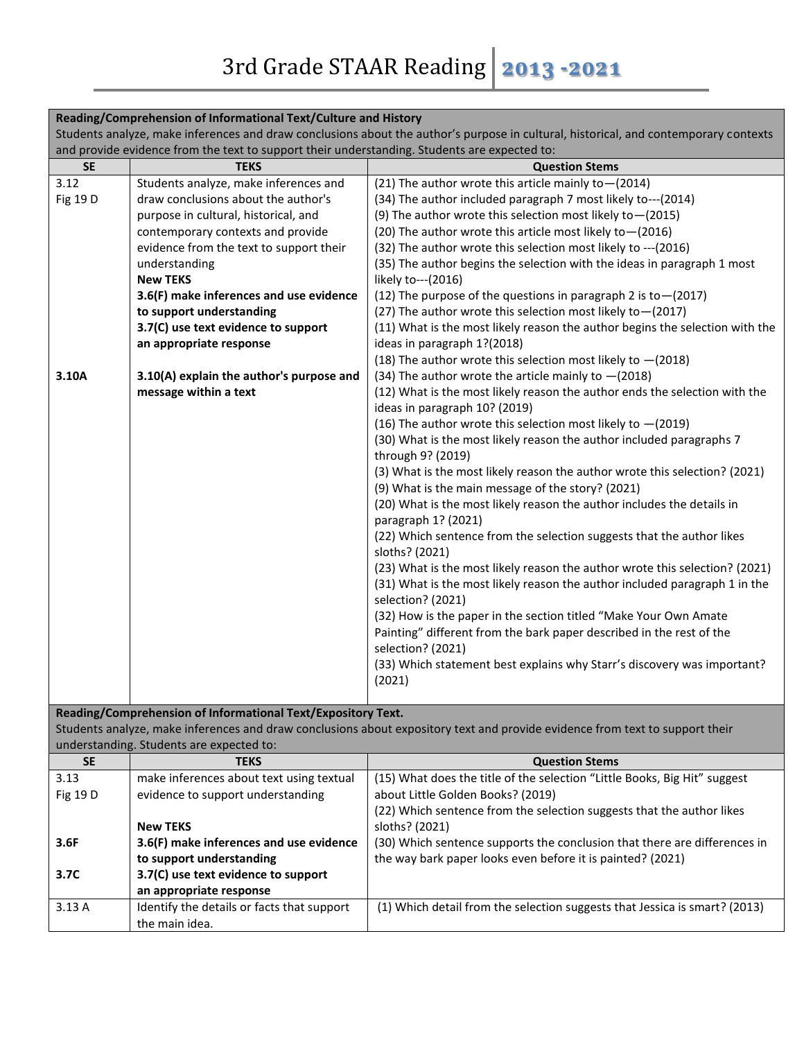|                                                                                                                                      | Reading/Comprehension of Informational Text/Culture and History                              |                                                                                                                              |  |
|--------------------------------------------------------------------------------------------------------------------------------------|----------------------------------------------------------------------------------------------|------------------------------------------------------------------------------------------------------------------------------|--|
| Students analyze, make inferences and draw conclusions about the author's purpose in cultural, historical, and contemporary contexts |                                                                                              |                                                                                                                              |  |
|                                                                                                                                      | and provide evidence from the text to support their understanding. Students are expected to: |                                                                                                                              |  |
| <b>SE</b>                                                                                                                            | <b>TEKS</b>                                                                                  | <b>Question Stems</b>                                                                                                        |  |
| 3.12                                                                                                                                 | Students analyze, make inferences and                                                        | (21) The author wrote this article mainly to-(2014)                                                                          |  |
| Fig 19 D                                                                                                                             | draw conclusions about the author's                                                          | (34) The author included paragraph 7 most likely to--- (2014)                                                                |  |
|                                                                                                                                      | purpose in cultural, historical, and                                                         | (9) The author wrote this selection most likely to $-(2015)$                                                                 |  |
|                                                                                                                                      | contemporary contexts and provide                                                            | (20) The author wrote this article most likely to - (2016)                                                                   |  |
|                                                                                                                                      | evidence from the text to support their                                                      | (32) The author wrote this selection most likely to --- (2016)                                                               |  |
|                                                                                                                                      | understanding                                                                                | (35) The author begins the selection with the ideas in paragraph 1 most                                                      |  |
|                                                                                                                                      | <b>New TEKS</b>                                                                              | likely to---(2016)                                                                                                           |  |
|                                                                                                                                      | 3.6(F) make inferences and use evidence                                                      | (12) The purpose of the questions in paragraph 2 is to $-(2017)$                                                             |  |
|                                                                                                                                      | to support understanding                                                                     | (27) The author wrote this selection most likely to - (2017)                                                                 |  |
|                                                                                                                                      | 3.7(C) use text evidence to support                                                          | (11) What is the most likely reason the author begins the selection with the                                                 |  |
|                                                                                                                                      | an appropriate response                                                                      | ideas in paragraph 1?(2018)                                                                                                  |  |
|                                                                                                                                      |                                                                                              | (18) The author wrote this selection most likely to $-(2018)$                                                                |  |
| 3.10A                                                                                                                                | 3.10(A) explain the author's purpose and                                                     | (34) The author wrote the article mainly to $-(2018)$                                                                        |  |
|                                                                                                                                      | message within a text                                                                        | (12) What is the most likely reason the author ends the selection with the                                                   |  |
|                                                                                                                                      |                                                                                              | ideas in paragraph 10? (2019)                                                                                                |  |
|                                                                                                                                      |                                                                                              | (16) The author wrote this selection most likely to $-(2019)$                                                                |  |
|                                                                                                                                      |                                                                                              | (30) What is the most likely reason the author included paragraphs 7                                                         |  |
|                                                                                                                                      |                                                                                              | through 9? (2019)                                                                                                            |  |
|                                                                                                                                      |                                                                                              | (3) What is the most likely reason the author wrote this selection? (2021)                                                   |  |
|                                                                                                                                      |                                                                                              | (9) What is the main message of the story? (2021)                                                                            |  |
|                                                                                                                                      |                                                                                              | (20) What is the most likely reason the author includes the details in                                                       |  |
|                                                                                                                                      |                                                                                              | paragraph 1? (2021)                                                                                                          |  |
|                                                                                                                                      |                                                                                              | (22) Which sentence from the selection suggests that the author likes                                                        |  |
|                                                                                                                                      |                                                                                              | sloths? (2021)                                                                                                               |  |
|                                                                                                                                      |                                                                                              | (23) What is the most likely reason the author wrote this selection? (2021)                                                  |  |
|                                                                                                                                      |                                                                                              | (31) What is the most likely reason the author included paragraph 1 in the                                                   |  |
|                                                                                                                                      |                                                                                              | selection? (2021)                                                                                                            |  |
|                                                                                                                                      |                                                                                              | (32) How is the paper in the section titled "Make Your Own Amate                                                             |  |
|                                                                                                                                      |                                                                                              | Painting" different from the bark paper described in the rest of the                                                         |  |
|                                                                                                                                      |                                                                                              | selection? (2021)                                                                                                            |  |
|                                                                                                                                      |                                                                                              | (33) Which statement best explains why Starr's discovery was important?                                                      |  |
|                                                                                                                                      |                                                                                              | (2021)                                                                                                                       |  |
|                                                                                                                                      |                                                                                              |                                                                                                                              |  |
|                                                                                                                                      | Reading/Comprehension of Informational Text/Expository Text.                                 |                                                                                                                              |  |
|                                                                                                                                      |                                                                                              | Students analyze, make inferences and draw conclusions about expository text and provide evidence from text to support their |  |
|                                                                                                                                      | understanding. Students are expected to:                                                     |                                                                                                                              |  |
| <b>SE</b>                                                                                                                            | <b>TEKS</b>                                                                                  | <b>Question Stems</b>                                                                                                        |  |
| 3.13                                                                                                                                 | make inferences about text using textual                                                     | (15) What does the title of the selection "Little Books, Big Hit" suggest                                                    |  |
| Fig 19 D                                                                                                                             | evidence to support understanding                                                            | about Little Golden Books? (2019)                                                                                            |  |
|                                                                                                                                      |                                                                                              | (22) Which sentence from the selection suggests that the author likes                                                        |  |
|                                                                                                                                      | いっ エロノビ                                                                                      | $1 - 1 - 2$ (2021)                                                                                                           |  |

|       | <b>New IERS</b>                            | SIOTNS? (2021)                                                             |
|-------|--------------------------------------------|----------------------------------------------------------------------------|
| 3.6F  | 3.6(F) make inferences and use evidence    | (30) Which sentence supports the conclusion that there are differences in  |
|       | to support understanding                   | the way bark paper looks even before it is painted? (2021)                 |
| 3.7C  | 3.7(C) use text evidence to support        |                                                                            |
|       | an appropriate response                    |                                                                            |
| 3.13A | Identify the details or facts that support | (1) Which detail from the selection suggests that Jessica is smart? (2013) |

the main idea.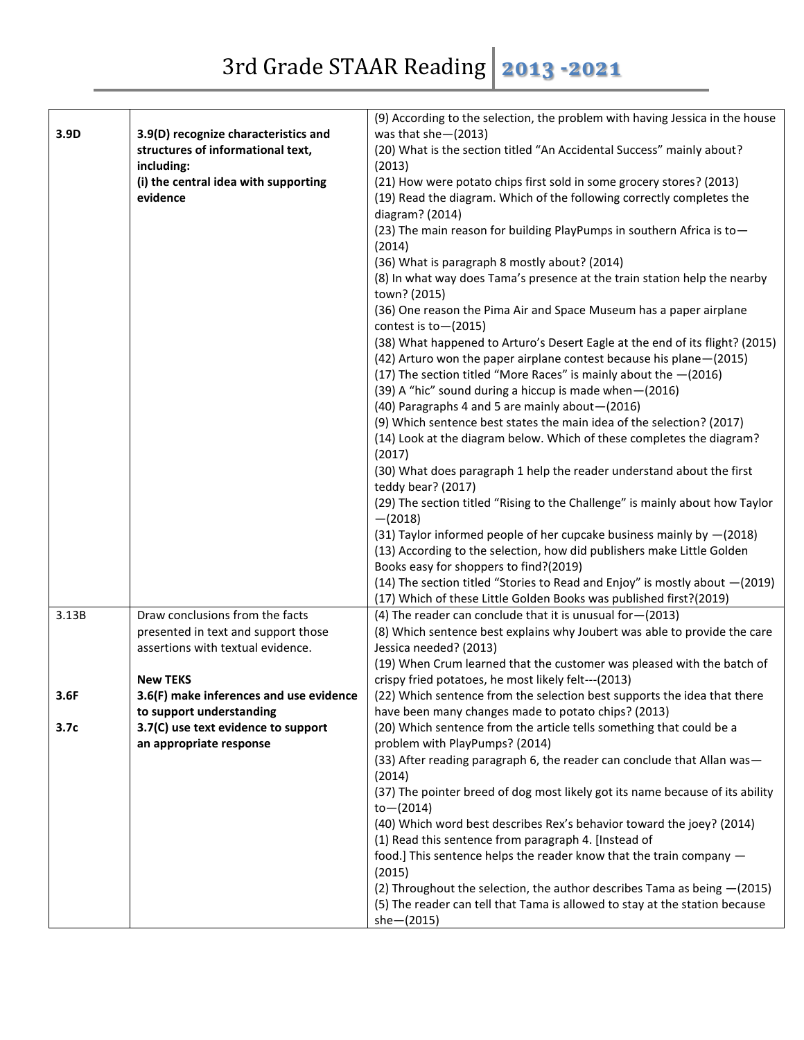| 3.9D             | 3.9(D) recognize characteristics and    | (9) According to the selection, the problem with having Jessica in the house<br>was that she $-(2013)$ |
|------------------|-----------------------------------------|--------------------------------------------------------------------------------------------------------|
|                  | structures of informational text,       | (20) What is the section titled "An Accidental Success" mainly about?                                  |
|                  | including:                              | (2013)                                                                                                 |
|                  | (i) the central idea with supporting    | (21) How were potato chips first sold in some grocery stores? (2013)                                   |
|                  | evidence                                | (19) Read the diagram. Which of the following correctly completes the                                  |
|                  |                                         | diagram? (2014)                                                                                        |
|                  |                                         | (23) The main reason for building PlayPumps in southern Africa is to-                                  |
|                  |                                         | (2014)                                                                                                 |
|                  |                                         | (36) What is paragraph 8 mostly about? (2014)                                                          |
|                  |                                         | (8) In what way does Tama's presence at the train station help the nearby                              |
|                  |                                         | town? (2015)                                                                                           |
|                  |                                         | (36) One reason the Pima Air and Space Museum has a paper airplane                                     |
|                  |                                         | contest is to $-(2015)$                                                                                |
|                  |                                         | (38) What happened to Arturo's Desert Eagle at the end of its flight? (2015)                           |
|                  |                                         | (42) Arturo won the paper airplane contest because his plane - (2015)                                  |
|                  |                                         | (17) The section titled "More Races" is mainly about the $-(2016)$                                     |
|                  |                                         | (39) A "hic" sound during a hiccup is made when-(2016)                                                 |
|                  |                                         | (40) Paragraphs 4 and 5 are mainly about-(2016)                                                        |
|                  |                                         | (9) Which sentence best states the main idea of the selection? (2017)                                  |
|                  |                                         | (14) Look at the diagram below. Which of these completes the diagram?                                  |
|                  |                                         | (2017)                                                                                                 |
|                  |                                         | (30) What does paragraph 1 help the reader understand about the first                                  |
|                  |                                         | teddy bear? (2017)                                                                                     |
|                  |                                         | (29) The section titled "Rising to the Challenge" is mainly about how Taylor<br>$-(2018)$              |
|                  |                                         | (31) Taylor informed people of her cupcake business mainly by $-(2018)$                                |
|                  |                                         | (13) According to the selection, how did publishers make Little Golden                                 |
|                  |                                         | Books easy for shoppers to find?(2019)                                                                 |
|                  |                                         | (14) The section titled "Stories to Read and Enjoy" is mostly about -(2019)                            |
|                  |                                         | (17) Which of these Little Golden Books was published first?(2019)                                     |
| 3.13B            | Draw conclusions from the facts         | (4) The reader can conclude that it is unusual for - (2013)                                            |
|                  | presented in text and support those     | (8) Which sentence best explains why Joubert was able to provide the care                              |
|                  | assertions with textual evidence.       | Jessica needed? (2013)                                                                                 |
|                  |                                         | (19) When Crum learned that the customer was pleased with the batch of                                 |
|                  | <b>New TEKS</b>                         | crispy fried potatoes, he most likely felt---(2013)                                                    |
| 3.6F             | 3.6(F) make inferences and use evidence | (22) Which sentence from the selection best supports the idea that there                               |
|                  | to support understanding                | have been many changes made to potato chips? (2013)                                                    |
| 3.7 <sub>c</sub> | 3.7(C) use text evidence to support     | (20) Which sentence from the article tells something that could be a                                   |
|                  | an appropriate response                 | problem with PlayPumps? (2014)                                                                         |
|                  |                                         | (33) After reading paragraph 6, the reader can conclude that Allan was-                                |
|                  |                                         | (2014)                                                                                                 |
|                  |                                         | (37) The pointer breed of dog most likely got its name because of its ability                          |
|                  |                                         | $to-(2014)$                                                                                            |
|                  |                                         | (40) Which word best describes Rex's behavior toward the joey? (2014)                                  |
|                  |                                         | (1) Read this sentence from paragraph 4. [Instead of                                                   |
|                  |                                         | food.] This sentence helps the reader know that the train company -<br>(2015)                          |
|                  |                                         | (2) Throughout the selection, the author describes Tama as being $-(2015)$                             |
|                  |                                         | (5) The reader can tell that Tama is allowed to stay at the station because                            |
|                  |                                         | $she - (2015)$                                                                                         |
|                  |                                         |                                                                                                        |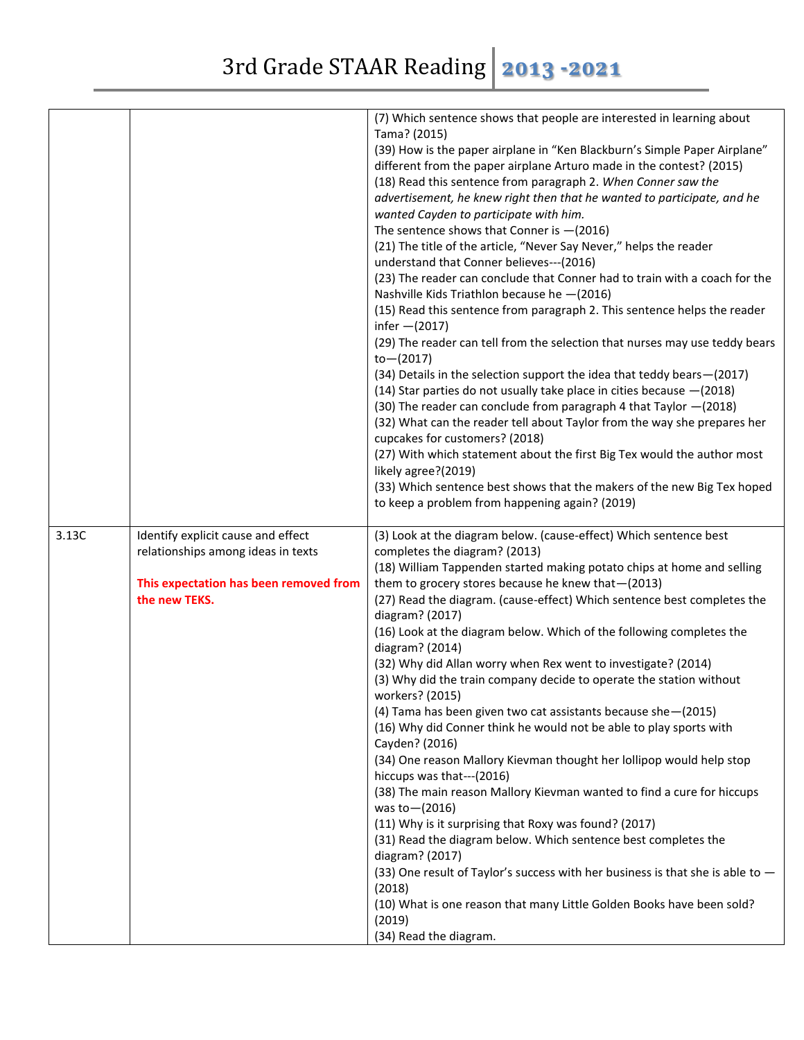|       |                                        | (7) Which sentence shows that people are interested in learning about<br>Tama? (2015)       |
|-------|----------------------------------------|---------------------------------------------------------------------------------------------|
|       |                                        | (39) How is the paper airplane in "Ken Blackburn's Simple Paper Airplane"                   |
|       |                                        | different from the paper airplane Arturo made in the contest? (2015)                        |
|       |                                        | (18) Read this sentence from paragraph 2. When Conner saw the                               |
|       |                                        | advertisement, he knew right then that he wanted to participate, and he                     |
|       |                                        | wanted Cayden to participate with him.                                                      |
|       |                                        | The sentence shows that Conner is $-(2016)$                                                 |
|       |                                        | (21) The title of the article, "Never Say Never," helps the reader                          |
|       |                                        | understand that Conner believes---(2016)                                                    |
|       |                                        | (23) The reader can conclude that Conner had to train with a coach for the                  |
|       |                                        | Nashville Kids Triathlon because he -(2016)                                                 |
|       |                                        | (15) Read this sentence from paragraph 2. This sentence helps the reader<br>infer $-(2017)$ |
|       |                                        | (29) The reader can tell from the selection that nurses may use teddy bears                 |
|       |                                        | $to-(2017)$                                                                                 |
|       |                                        | (34) Details in the selection support the idea that teddy bears - (2017)                    |
|       |                                        | (14) Star parties do not usually take place in cities because $-(2018)$                     |
|       |                                        | (30) The reader can conclude from paragraph 4 that Taylor -(2018)                           |
|       |                                        | (32) What can the reader tell about Taylor from the way she prepares her                    |
|       |                                        | cupcakes for customers? (2018)                                                              |
|       |                                        | (27) With which statement about the first Big Tex would the author most                     |
|       |                                        | likely agree?(2019)                                                                         |
|       |                                        | (33) Which sentence best shows that the makers of the new Big Tex hoped                     |
|       |                                        | to keep a problem from happening again? (2019)                                              |
|       |                                        |                                                                                             |
| 3.13C | Identify explicit cause and effect     | (3) Look at the diagram below. (cause-effect) Which sentence best                           |
|       | relationships among ideas in texts     | completes the diagram? (2013)                                                               |
|       |                                        | (18) William Tappenden started making potato chips at home and selling                      |
|       | This expectation has been removed from | them to grocery stores because he knew that -(2013)                                         |
|       |                                        |                                                                                             |
|       | the new TEKS.                          | (27) Read the diagram. (cause-effect) Which sentence best completes the                     |
|       |                                        | diagram? (2017)                                                                             |
|       |                                        | (16) Look at the diagram below. Which of the following completes the                        |
|       |                                        | diagram? (2014)                                                                             |
|       |                                        | (32) Why did Allan worry when Rex went to investigate? (2014)                               |
|       |                                        | (3) Why did the train company decide to operate the station without                         |
|       |                                        | workers? (2015)                                                                             |
|       |                                        | (4) Tama has been given two cat assistants because she-(2015)                               |
|       |                                        | (16) Why did Conner think he would not be able to play sports with                          |
|       |                                        | Cayden? (2016)                                                                              |
|       |                                        | (34) One reason Mallory Kievman thought her lollipop would help stop                        |
|       |                                        | hiccups was that---(2016)                                                                   |
|       |                                        | (38) The main reason Mallory Kievman wanted to find a cure for hiccups                      |
|       |                                        | was to $-(2016)$                                                                            |
|       |                                        | (11) Why is it surprising that Roxy was found? (2017)                                       |
|       |                                        | (31) Read the diagram below. Which sentence best completes the                              |
|       |                                        | diagram? (2017)                                                                             |
|       |                                        | (33) One result of Taylor's success with her business is that she is able to $-$            |
|       |                                        | (2018)                                                                                      |
|       |                                        | (10) What is one reason that many Little Golden Books have been sold?                       |
|       |                                        | (2019)<br>(34) Read the diagram.                                                            |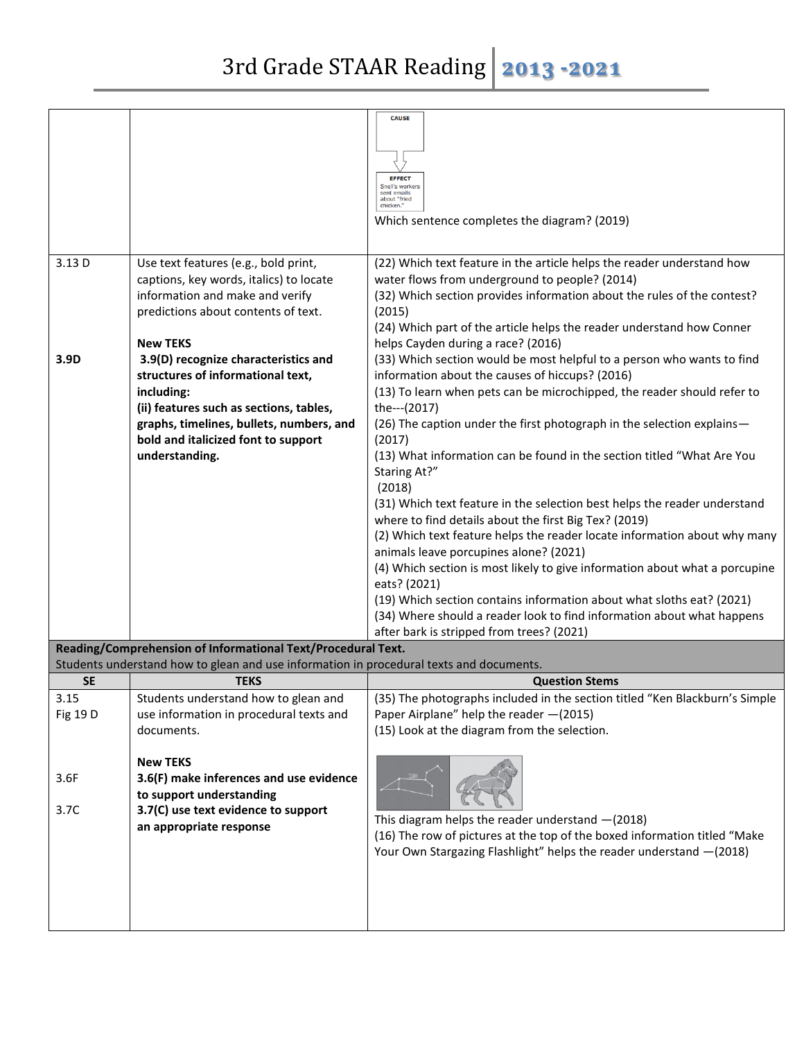| 3.13 D<br>3.9D   | Use text features (e.g., bold print,<br>captions, key words, italics) to locate<br>information and make and verify<br>predictions about contents of text.<br><b>New TEKS</b><br>3.9(D) recognize characteristics and<br>structures of informational text,<br>including:<br>(ii) features such as sections, tables,<br>graphs, timelines, bullets, numbers, and<br>bold and italicized font to support<br>understanding. | <b>CAUSE</b><br><b>EFFECT</b><br>Snell's worker<br>sent emails<br>about "fried<br>chicken.<br>Which sentence completes the diagram? (2019)<br>(22) Which text feature in the article helps the reader understand how<br>water flows from underground to people? (2014)<br>(32) Which section provides information about the rules of the contest?<br>(2015)<br>(24) Which part of the article helps the reader understand how Conner<br>helps Cayden during a race? (2016)<br>(33) Which section would be most helpful to a person who wants to find<br>information about the causes of hiccups? (2016)<br>(13) To learn when pets can be microchipped, the reader should refer to<br>the---(2017)<br>(26) The caption under the first photograph in the selection explains-<br>(2017)<br>(13) What information can be found in the section titled "What Are You<br>Staring At?"<br>(2018)<br>(31) Which text feature in the selection best helps the reader understand<br>where to find details about the first Big Tex? (2019)<br>(2) Which text feature helps the reader locate information about why many<br>animals leave porcupines alone? (2021)<br>(4) Which section is most likely to give information about what a porcupine<br>eats? (2021)<br>(19) Which section contains information about what sloths eat? (2021)<br>(34) Where should a reader look to find information about what happens |
|------------------|-------------------------------------------------------------------------------------------------------------------------------------------------------------------------------------------------------------------------------------------------------------------------------------------------------------------------------------------------------------------------------------------------------------------------|-----------------------------------------------------------------------------------------------------------------------------------------------------------------------------------------------------------------------------------------------------------------------------------------------------------------------------------------------------------------------------------------------------------------------------------------------------------------------------------------------------------------------------------------------------------------------------------------------------------------------------------------------------------------------------------------------------------------------------------------------------------------------------------------------------------------------------------------------------------------------------------------------------------------------------------------------------------------------------------------------------------------------------------------------------------------------------------------------------------------------------------------------------------------------------------------------------------------------------------------------------------------------------------------------------------------------------------------------------------------------------------------------------------|
|                  | Reading/Comprehension of Informational Text/Procedural Text.                                                                                                                                                                                                                                                                                                                                                            | after bark is stripped from trees? (2021)                                                                                                                                                                                                                                                                                                                                                                                                                                                                                                                                                                                                                                                                                                                                                                                                                                                                                                                                                                                                                                                                                                                                                                                                                                                                                                                                                                 |
|                  | Students understand how to glean and use information in procedural texts and documents.                                                                                                                                                                                                                                                                                                                                 |                                                                                                                                                                                                                                                                                                                                                                                                                                                                                                                                                                                                                                                                                                                                                                                                                                                                                                                                                                                                                                                                                                                                                                                                                                                                                                                                                                                                           |
| <b>SE</b>        | <b>TEKS</b>                                                                                                                                                                                                                                                                                                                                                                                                             | <b>Question Stems</b>                                                                                                                                                                                                                                                                                                                                                                                                                                                                                                                                                                                                                                                                                                                                                                                                                                                                                                                                                                                                                                                                                                                                                                                                                                                                                                                                                                                     |
| 3.15<br>Fig 19 D | Students understand how to glean and<br>use information in procedural texts and<br>documents.<br><b>New TEKS</b>                                                                                                                                                                                                                                                                                                        | (35) The photographs included in the section titled "Ken Blackburn's Simple<br>Paper Airplane" help the reader -(2015)<br>(15) Look at the diagram from the selection.                                                                                                                                                                                                                                                                                                                                                                                                                                                                                                                                                                                                                                                                                                                                                                                                                                                                                                                                                                                                                                                                                                                                                                                                                                    |
| 3.6F<br>3.7C     | 3.6(F) make inferences and use evidence<br>to support understanding<br>3.7(C) use text evidence to support<br>an appropriate response                                                                                                                                                                                                                                                                                   | This diagram helps the reader understand $-(2018)$<br>(16) The row of pictures at the top of the boxed information titled "Make<br>Your Own Stargazing Flashlight" helps the reader understand -(2018)                                                                                                                                                                                                                                                                                                                                                                                                                                                                                                                                                                                                                                                                                                                                                                                                                                                                                                                                                                                                                                                                                                                                                                                                    |
|                  |                                                                                                                                                                                                                                                                                                                                                                                                                         |                                                                                                                                                                                                                                                                                                                                                                                                                                                                                                                                                                                                                                                                                                                                                                                                                                                                                                                                                                                                                                                                                                                                                                                                                                                                                                                                                                                                           |